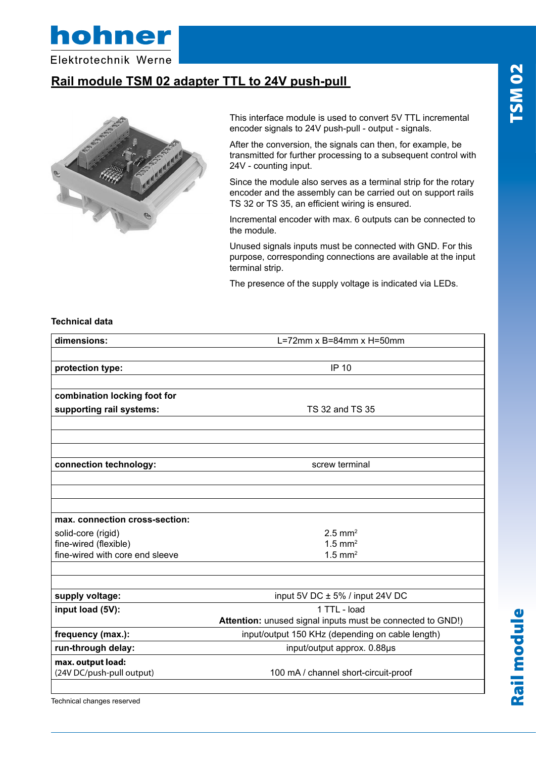

Elektrotechnik Werne

## **Rail module TSM 02 adapter TTL to 24V push-pull**



This interface module is used to convert 5V TTL incremental encoder signals to 24V push-pull - output - signals.

After the conversion, the signals can then, for example, be transmitted for further processing to a subsequent control with 24V - counting input.

Since the module also serves as a terminal strip for the rotary encoder and the assembly can be carried out on support rails TS 32 or TS 35, an efficient wiring is ensured.

Incremental encoder with max. 6 outputs can be connected to the module.

Unused signals inputs must be connected with GND. For this purpose, corresponding connections are available at the input terminal strip.

The presence of the supply voltage is indicated via LEDs.

#### **Technical data**

| dimensions:                     | $L = 72$ mm x B=84mm x H=50mm                              |
|---------------------------------|------------------------------------------------------------|
|                                 |                                                            |
| protection type:                | <b>IP 10</b>                                               |
|                                 |                                                            |
| combination locking foot for    |                                                            |
| supporting rail systems:        | TS 32 and TS 35                                            |
|                                 |                                                            |
|                                 |                                                            |
|                                 |                                                            |
| connection technology:          | screw terminal                                             |
|                                 |                                                            |
|                                 |                                                            |
|                                 |                                                            |
| max. connection cross-section:  |                                                            |
| solid-core (rigid)              | $2.5$ mm <sup>2</sup>                                      |
| fine-wired (flexible)           | $1.5$ mm <sup>2</sup>                                      |
| fine-wired with core end sleeve | $1.5$ mm <sup>2</sup>                                      |
|                                 |                                                            |
|                                 |                                                            |
| supply voltage:                 | input 5V DC ± 5% / input 24V DC                            |
| input load (5V):                | 1 TTL - load                                               |
|                                 | Attention: unused signal inputs must be connected to GND!) |
| frequency (max.):               | input/output 150 KHz (depending on cable length)           |
| run-through delay:              | input/output approx. 0.88µs                                |
| max. output load:               |                                                            |
| (24V DC/push-pull output)       | 100 mA / channel short-circuit-proof                       |
|                                 |                                                            |

Technical changes reserved